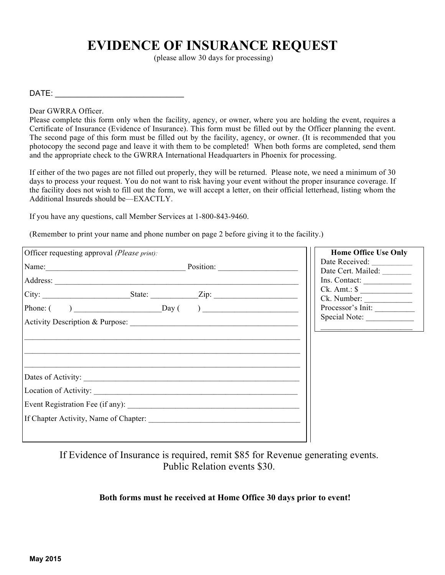## **EVIDENCE OF INSURANCE REQUEST**

(please allow 30 days for processing)

 $\mathsf{DATE}$ :

Dear GWRRA Officer.

Please complete this form only when the facility, agency, or owner, where you are holding the event, requires a Certificate of Insurance (Evidence of Insurance). This form must be filled out by the Officer planning the event. The second page of this form must be filled out by the facility, agency, or owner. (It is recommended that you photocopy the second page and leave it with them to be completed! When both forms are completed, send them and the appropriate check to the GWRRA International Headquarters in Phoenix for processing.

If either of the two pages are not filled out properly, they will be returned. Please note, we need a minimum of 30 days to process your request. You do not want to risk having your event without the proper insurance coverage. If the facility does not wish to fill out the form, we will accept a letter, on their official letterhead, listing whom the Additional Insureds should be—EXACTLY.

If you have any questions, call Member Services at 1-800-843-9460.

(Remember to print your name and phone number on page 2 before giving it to the facility.)

| Officer requesting approval (Please print): | <b>Home Office Use Only</b>                         |
|---------------------------------------------|-----------------------------------------------------|
| Name: Position: Position:                   | Date Received: ______________<br>Date Cert. Mailed: |
|                                             | Ins. Contact:                                       |
|                                             | $Ck.$ Amt.: $\frac{1}{2}$<br>Ck. Number:            |
| $Phone: ( )$ Day $( )$                      | Processor's Init:                                   |
|                                             | Special Note:                                       |
|                                             |                                                     |
| Dates of Activity:                          |                                                     |
|                                             |                                                     |
|                                             |                                                     |
| If Chapter Activity, Name of Chapter:       |                                                     |
|                                             |                                                     |

If Evidence of Insurance is required, remit \$85 for Revenue generating events. Public Relation events \$30.

## **Both forms must he received at Home Office 30 days prior to event!**